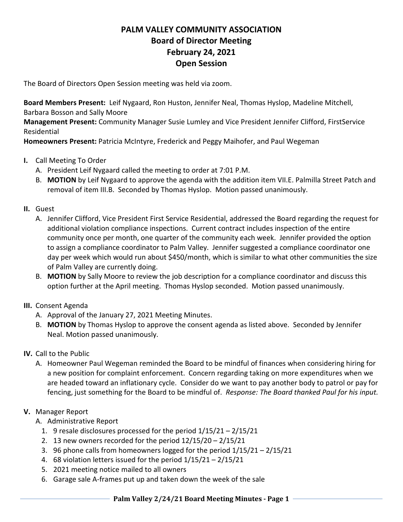## **PALM VALLEY COMMUNITY ASSOCIATION Board of Director Meeting February 24, 2021 Open Session**

The Board of Directors Open Session meeting was held via zoom.

**Board Members Present:** Leif Nygaard, Ron Huston, Jennifer Neal, Thomas Hyslop, Madeline Mitchell, Barbara Bosson and Sally Moore

**Management Present:** Community Manager Susie Lumley and Vice President Jennifer Clifford, FirstService Residential

**Homeowners Present:** Patricia McIntyre, Frederick and Peggy Maihofer, and Paul Wegeman

- **I.** Call Meeting To Order
	- A. President Leif Nygaard called the meeting to order at 7:01 P.M.
	- B. **MOTION** by Leif Nygaard to approve the agenda with the addition item VII.E. Palmilla Street Patch and removal of item III.B. Seconded by Thomas Hyslop. Motion passed unanimously.
- **II.** Guest
	- A. Jennifer Clifford, Vice President First Service Residential, addressed the Board regarding the request for additional violation compliance inspections. Current contract includes inspection of the entire community once per month, one quarter of the community each week. Jennifer provided the option to assign a compliance coordinator to Palm Valley. Jennifer suggested a compliance coordinator one day per week which would run about \$450/month, which is similar to what other communities the size of Palm Valley are currently doing.
	- B. **MOTION** by Sally Moore to review the job description for a compliance coordinator and discuss this option further at the April meeting. Thomas Hyslop seconded. Motion passed unanimously.
- **III.** Consent Agenda
	- A. Approval of the January 27, 2021 Meeting Minutes.
	- B. **MOTION** by Thomas Hyslop to approve the consent agenda as listed above. Seconded by Jennifer Neal. Motion passed unanimously.
- **IV.** Call to the Public
	- A. Homeowner Paul Wegeman reminded the Board to be mindful of finances when considering hiring for a new position for complaint enforcement. Concern regarding taking on more expenditures when we are headed toward an inflationary cycle. Consider do we want to pay another body to patrol or pay for fencing, just something for the Board to be mindful of. *Response: The Board thanked Paul for his input.*
- **V.** Manager Report
	- A. Administrative Report
		- 1. 9 resale disclosures processed for the period 1/15/21 2/15/21
		- 2. 13 new owners recorded for the period 12/15/20 2/15/21
		- 3. 96 phone calls from homeowners logged for the period  $1/15/21 2/15/21$
		- 4. 68 violation letters issued for the period 1/15/21 2/15/21
		- 5. 2021 meeting notice mailed to all owners
		- 6. Garage sale A-frames put up and taken down the week of the sale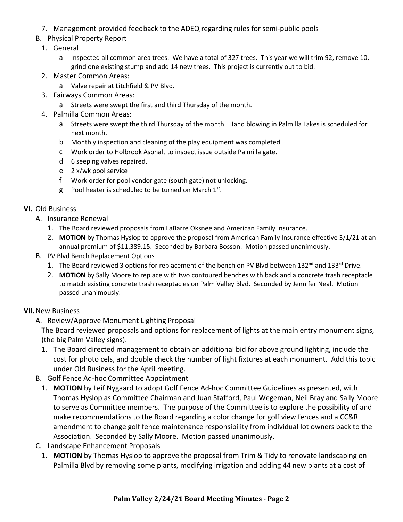- 7. Management provided feedback to the ADEQ regarding rules for semi-public pools
- B. Physical Property Report
	- 1. General
		- a Inspected all common area trees. We have a total of 327 trees. This year we will trim 92, remove 10, grind one existing stump and add 14 new trees. This project is currently out to bid.
	- 2. Master Common Areas:
		- a Valve repair at Litchfield & PV Blvd.
	- 3. Fairways Common Areas:
		- a Streets were swept the first and third Thursday of the month.
	- 4. Palmilla Common Areas:
		- a Streets were swept the third Thursday of the month. Hand blowing in Palmilla Lakes is scheduled for next month.
		- b Monthly inspection and cleaning of the play equipment was completed.
		- c Work order to Holbrook Asphalt to inspect issue outside Palmilla gate.
		- d 6 seeping valves repaired.
		- e 2 x/wk pool service
		- f Work order for pool vendor gate (south gate) not unlocking.
		- g Pool heater is scheduled to be turned on March  $1<sup>st</sup>$ .

## **VI.** Old Business

- A. Insurance Renewal
	- 1. The Board reviewed proposals from LaBarre Oksnee and American Family Insurance.
	- 2. **MOTION** by Thomas Hyslop to approve the proposal from American Family Insurance effective 3/1/21 at an annual premium of \$11,389.15. Seconded by Barbara Bosson. Motion passed unanimously.
- B. PV Blvd Bench Replacement Options
	- 1. The Board reviewed 3 options for replacement of the bench on PV Blvd between 132<sup>nd</sup> and 133<sup>rd</sup> Drive.
	- 2. **MOTION** by Sally Moore to replace with two contoured benches with back and a concrete trash receptacle to match existing concrete trash receptacles on Palm Valley Blvd. Seconded by Jennifer Neal. Motion passed unanimously.

## **VII.**New Business

A. Review/Approve Monument Lighting Proposal

The Board reviewed proposals and options for replacement of lights at the main entry monument signs, (the big Palm Valley signs).

- 1. The Board directed management to obtain an additional bid for above ground lighting, include the cost for photo cels, and double check the number of light fixtures at each monument. Add this topic under Old Business for the April meeting.
- B. Golf Fence Ad-hoc Committee Appointment
	- 1. **MOTION** by Leif Nygaard to adopt Golf Fence Ad-hoc Committee Guidelines as presented, with Thomas Hyslop as Committee Chairman and Juan Stafford, Paul Wegeman, Neil Bray and Sally Moore to serve as Committee members. The purpose of the Committee is to explore the possibility of and make recommendations to the Board regarding a color change for golf view fences and a CC&R amendment to change golf fence maintenance responsibility from individual lot owners back to the Association. Seconded by Sally Moore. Motion passed unanimously.
- C. Landscape Enhancement Proposals
	- 1. **MOTION** by Thomas Hyslop to approve the proposal from Trim & Tidy to renovate landscaping on Palmilla Blvd by removing some plants, modifying irrigation and adding 44 new plants at a cost of